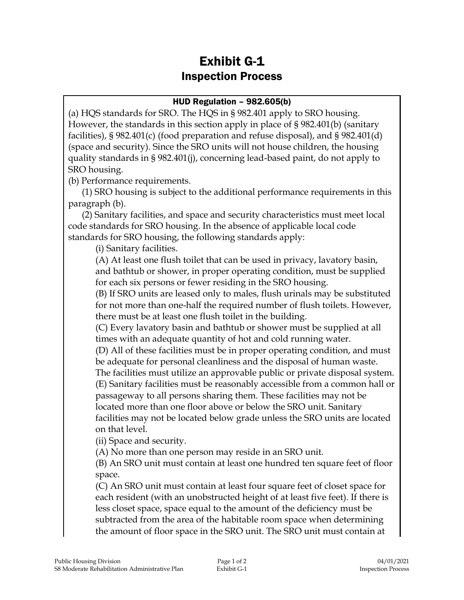## Exhibit G-1 Inspection Process

## HUD Regulation – 982.605(b)

(a) HQS standards for SRO. The HQS in § 982.401 apply to SRO housing. However, the standards in this section apply in place of § 982.401(b) (sanitary facilities), § 982.401(c) (food preparation and refuse disposal), and § 982.401(d) (space and security). Since the SRO units will not house children, the housing quality standards in § 982.401(j), concerning lead-based paint, do not apply to SRO housing.

(b) Performance requirements.

(1) SRO housing is subject to the additional performance requirements in this paragraph (b).

(2) Sanitary facilities, and space and security characteristics must meet local code standards for SRO housing. In the absence of applicable local code standards for SRO housing, the following standards apply:

(i) Sanitary facilities.

(A) At least one flush toilet that can be used in privacy, lavatory basin, and bathtub or shower, in proper operating condition, must be supplied for each six persons or fewer residing in the SRO housing.

(B) If SRO units are leased only to males, flush urinals may be substituted for not more than one-half the required number of flush toilets. However, there must be at least one flush toilet in the building.

(C) Every lavatory basin and bathtub or shower must be supplied at all times with an adequate quantity of hot and cold running water.

(D) All of these facilities must be in proper operating condition, and must be adequate for personal cleanliness and the disposal of human waste.

The facilities must utilize an approvable public or private disposal system. (E) Sanitary facilities must be reasonably accessible from a common hall or passageway to all persons sharing them. These facilities may not be located more than one floor above or below the SRO unit. Sanitary facilities may not be located below grade unless the SRO units are located on that level.

(ii) Space and security.

(A) No more than one person may reside in an SRO unit.

(B) An SRO unit must contain at least one hundred ten square feet of floor space.

(C) An SRO unit must contain at least four square feet of closet space for each resident (with an unobstructed height of at least five feet). If there is less closet space, space equal to the amount of the deficiency must be subtracted from the area of the habitable room space when determining the amount of floor space in the SRO unit. The SRO unit must contain at